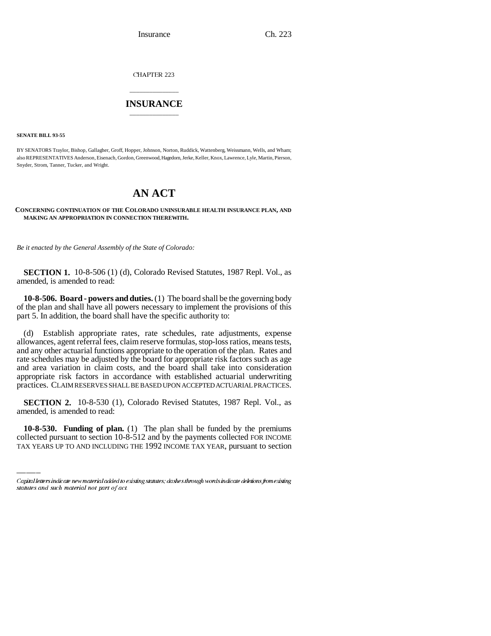Insurance Ch. 223

CHAPTER 223

# \_\_\_\_\_\_\_\_\_\_\_\_\_\_\_ **INSURANCE** \_\_\_\_\_\_\_\_\_\_\_\_\_\_\_

**SENATE BILL 93-55**

BY SENATORS Traylor, Bishop, Gallagher, Groff, Hopper, Johnson, Norton, Ruddick, Wattenberg, Weissmann, Wells, and Wham; also REPRESENTATIVES Anderson, Eisenach, Gordon, Greenwood, Hagedorn, Jerke, Keller, Knox, Lawrence, Lyle, Martin, Pierson, Snyder, Strom, Tanner, Tucker, and Wright.

# **AN ACT**

### **CONCERNING CONTINUATION OF THE COLORADO UNINSURABLE HEALTH INSURANCE PLAN, AND MAKING AN APPROPRIATION IN CONNECTION THEREWITH.**

*Be it enacted by the General Assembly of the State of Colorado:*

**SECTION 1.** 10-8-506 (1) (d), Colorado Revised Statutes, 1987 Repl. Vol., as amended, is amended to read:

**10-8-506. Board - powers and duties.** (1) The board shall be the governing body of the plan and shall have all powers necessary to implement the provisions of this part 5. In addition, the board shall have the specific authority to:

(d) Establish appropriate rates, rate schedules, rate adjustments, expense allowances, agent referral fees, claim reserve formulas, stop-loss ratios, means tests, and any other actuarial functions appropriate to the operation of the plan. Rates and rate schedules may be adjusted by the board for appropriate risk factors such as age and area variation in claim costs, and the board shall take into consideration appropriate risk factors in accordance with established actuarial underwriting practices. CLAIM RESERVES SHALL BE BASED UPON ACCEPTED ACTUARIAL PRACTICES.

amended, is amended to read: **SECTION 2.** 10-8-530 (1), Colorado Revised Statutes, 1987 Repl. Vol., as

**10-8-530. Funding of plan.** (1) The plan shall be funded by the premiums collected pursuant to section 10-8-512 and by the payments collected FOR INCOME TAX YEARS UP TO AND INCLUDING THE 1992 INCOME TAX YEAR, pursuant to section

Capital letters indicate new material added to existing statutes; dashes through words indicate deletions from existing statutes and such material not part of act.